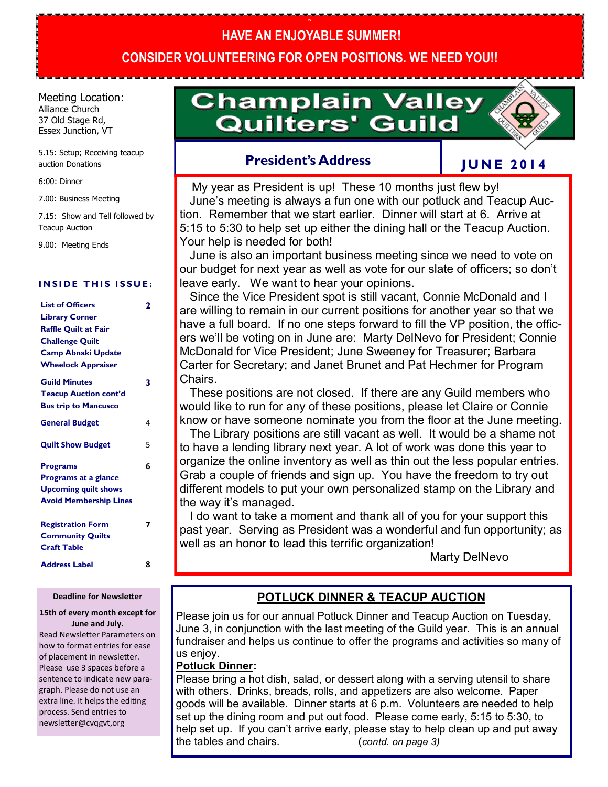# **HAVE AN ENJOYABLE SUMMER! CONSIDER VOLUNTEERING FOR OPEN POSITIONS. WE NEED YOU!!**

**PL**

Meeting Location: Alliance Church 37 Old Stage Rd, Essex Junction, VT

5.15: Setup; Receiving teacup auction Donations

6:00: Dinner

7.00: Business Meeting

7.15: Show and Tell followed by Teacup Auction

9.00: Meeting Ends

#### **INSIDE THIS ISSUE:**

| <b>List of Officers</b>       | 2 |
|-------------------------------|---|
| <b>Library Corner</b>         |   |
| <b>Raffle Quilt at Fair</b>   |   |
| <b>Challenge Quilt</b>        |   |
| <b>Camp Abnaki Update</b>     |   |
| <b>Wheelock Appraiser</b>     |   |
| <b>Guild Minutes</b>          | 3 |
| <b>Teacup Auction cont'd</b>  |   |
| <b>Bus trip to Mancusco</b>   |   |
| <b>General Budget</b>         | 4 |
| <b>Quilt Show Budget</b>      | 5 |
| <b>Programs</b>               | 6 |
| Programs at a glance          |   |
| <b>Upcoming quilt shows</b>   |   |
| <b>Avoid Membership Lines</b> |   |
| <b>Registration Form</b>      | 7 |
| <b>Community Quilts</b>       |   |
| <b>Craft Table</b>            |   |
| <b>Address Label</b>          | 8 |

#### **Deadline for Newsletter**

#### **15th of every month except for June and July.**

Read Newsletter Parameters on how to format entries for ease of placement in newsletter. Please use 3 spaces before a sentence to indicate new paragraph. Please do not use an extra line. It helps the editing process. Send entries to newsletter@cvqgvt,org

# **Champlain Valley Quilters' Guild**

## **President's Address**

## **J U N E 2 0 1 4**

 My year as President is up! These 10 months just flew by! June's meeting is always a fun one with our potluck and Teacup Auction. Remember that we start earlier. Dinner will start at 6. Arrive at 5:15 to 5:30 to help set up either the dining hall or the Teacup Auction. Your help is needed for both!

 June is also an important business meeting since we need to vote on our budget for next year as well as vote for our slate of officers; so don't leave early. We want to hear your opinions.

 Since the Vice President spot is still vacant, Connie McDonald and I are willing to remain in our current positions for another year so that we have a full board. If no one steps forward to fill the VP position, the officers we'll be voting on in June are: Marty DelNevo for President; Connie McDonald for Vice President; June Sweeney for Treasurer; Barbara Carter for Secretary; and Janet Brunet and Pat Hechmer for Program Chairs.

 These positions are not closed. If there are any Guild members who would like to run for any of these positions, please let Claire or Connie know or have someone nominate you from the floor at the June meeting.

 The Library positions are still vacant as well. It would be a shame not to have a lending library next year. A lot of work was done this year to organize the online inventory as well as thin out the less popular entries. Grab a couple of friends and sign up. You have the freedom to try out different models to put your own personalized stamp on the Library and the way it's managed.

 I do want to take a moment and thank all of you for your support this past year. Serving as President was a wonderful and fun opportunity; as well as an honor to lead this terrific organization!

Marty DelNevo

## **POTLUCK DINNER & TEACUP AUCTION**

Please join us for our annual Potluck Dinner and Teacup Auction on Tuesday, June 3, in conjunction with the last meeting of the Guild year. This is an annual fundraiser and helps us continue to offer the programs and activities so many of us enjoy.

#### **Potluck Dinner:**

Please bring a hot dish, salad, or dessert along with a serving utensil to share with others. Drinks, breads, rolls, and appetizers are also welcome. Paper goods will be available. Dinner starts at 6 p.m. Volunteers are needed to help set up the dining room and put out food. Please come early, 5:15 to 5:30, to help set up. If you can't arrive early, please stay to help clean up and put away the tables and chairs. (*contd. on page 3)*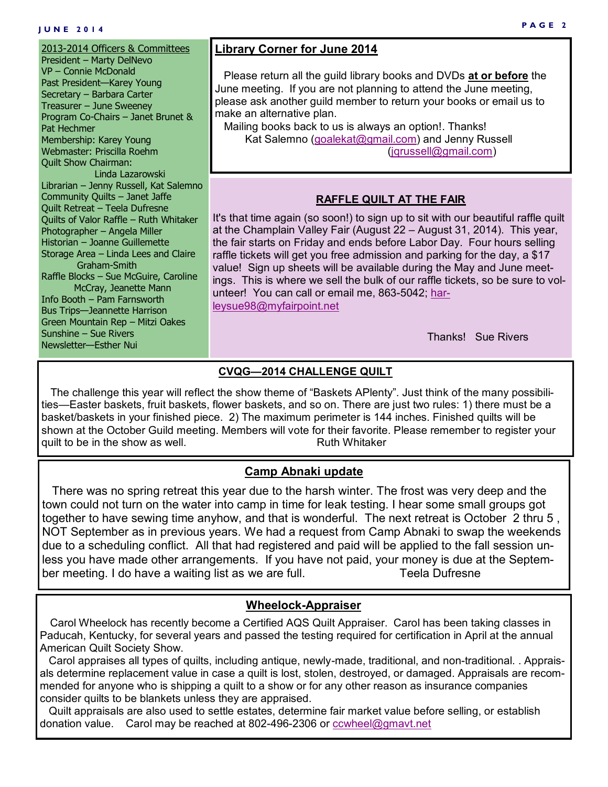#### **J U N E 2 0 1 4**

2013-2014 Officers & Committees President – Marty DelNevo VP – Connie McDonald Past President—Karey Young Secretary – Barbara Carter Treasurer – June Sweeney Program Co-Chairs – Janet Brunet & Pat Hechmer Membership: Karey Young Webmaster: Priscilla Roehm Quilt Show Chairman: Linda Lazarowski Librarian – Jenny Russell, Kat Salemno Community Quilts – Janet Jaffe Quilt Retreat – Teela Dufresne Quilts of Valor Raffle – Ruth Whitaker Photographer – Angela Miller Historian – Joanne Guillemette Storage Area – Linda Lees and Claire Graham-Smith Raffle Blocks – Sue McGuire, Caroline McCray, Jeanette Mann Info Booth – Pam Farnsworth Bus Trips—Jeannette Harrison Green Mountain Rep – Mitzi Oakes Sunshine – Sue Rivers Newsletter—Esther Nui

#### **Library Corner for June 2014**

 Please return all the guild library books and DVDs **at or before** the June meeting. If you are not planning to attend the June meeting, please ask another guild member to return your books or email us to make an alternative plan.

 Mailing books back to us is always an option!. Thanks! Kat Salemno ([goalekat@gmail.com\)](mailto:goalekat@gmail.com) and Jenny Russell [\(jqrussell@gmail.com\)](mailto:jqrussell@gmail.com)

#### **RAFFLE QUILT AT THE FAIR**

It's that time again (so soon!) to sign up to sit with our beautiful raffle quilt at the Champlain Valley Fair (August 22 – August 31, 2014). This year, the fair starts on Friday and ends before Labor Day. Four hours selling raffle tickets will get you free admission and parking for the day, a \$17 value! Sign up sheets will be available during the May and June meetings. This is where we sell the bulk of our raffle tickets, so be sure to volunteer! You can call or email me, 863-5042; [har](mailto:harleysue98@myfairpoint.net)[leysue98@myfairpoint.net](mailto:harleysue98@myfairpoint.net)

Thanks! Sue Rivers

#### **CVQG—2014 CHALLENGE QUILT**

 The challenge this year will reflect the show theme of "Baskets APlenty". Just think of the many possibilities—Easter baskets, fruit baskets, flower baskets, and so on. There are just two rules: 1) there must be a basket/baskets in your finished piece. 2) The maximum perimeter is 144 inches. Finished quilts will be shown at the October Guild meeting. Members will vote for their favorite. Please remember to register your quilt to be in the show as well. The show it is a set of the Ruth Whitaker

#### **Camp Abnaki update**

 There was no spring retreat this year due to the harsh winter. The frost was very deep and the town could not turn on the water into camp in time for leak testing. I hear some small groups got together to have sewing time anyhow, and that is wonderful. The next retreat is October 2 thru 5 , NOT September as in previous years. We had a request from Camp Abnaki to swap the weekends due to a scheduling conflict. All that had registered and paid will be applied to the fall session unless you have made other arrangements. If you have not paid, your money is due at the September meeting. I do have a waiting list as we are full. Teela Dufresne

#### **Wheelock-Appraiser**

 Carol Wheelock has recently become a Certified AQS Quilt Appraiser. Carol has been taking classes in Paducah, Kentucky, for several years and passed the testing required for certification in April at the annual American Quilt Society Show.

 Carol appraises all types of quilts, including antique, newly-made, traditional, and non-traditional. . Appraisals determine replacement value in case a quilt is lost, stolen, destroyed, or damaged. Appraisals are recommended for anyone who is shipping a quilt to a show or for any other reason as insurance companies consider quilts to be blankets unless they are appraised.

 Quilt appraisals are also used to settle estates, determine fair market value before selling, or establish donation value. Carol may be reached at 802-496-2306 or [ccwheel@gmavt.net](mailto:ccwheel@gmavt.net)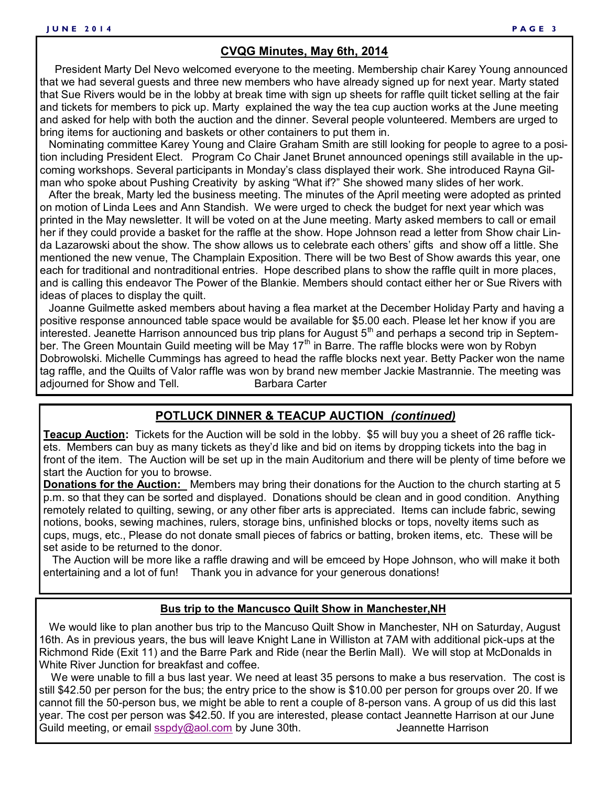#### **CVQG Minutes, May 6th, 2014**

 President Marty Del Nevo welcomed everyone to the meeting. Membership chair Karey Young announced that we had several guests and three new members who have already signed up for next year. Marty stated that Sue Rivers would be in the lobby at break time with sign up sheets for raffle quilt ticket selling at the fair and tickets for members to pick up. Marty explained the way the tea cup auction works at the June meeting and asked for help with both the auction and the dinner. Several people volunteered. Members are urged to bring items for auctioning and baskets or other containers to put them in.

 Nominating committee Karey Young and Claire Graham Smith are still looking for people to agree to a position including President Elect. Program Co Chair Janet Brunet announced openings still available in the upcoming workshops. Several participants in Monday's class displayed their work. She introduced Rayna Gilman who spoke about Pushing Creativity by asking "What if?" She showed many slides of her work.

 After the break, Marty led the business meeting. The minutes of the April meeting were adopted as printed on motion of Linda Lees and Ann Standish. We were urged to check the budget for next year which was printed in the May newsletter. It will be voted on at the June meeting. Marty asked members to call or email her if they could provide a basket for the raffle at the show. Hope Johnson read a letter from Show chair Linda Lazarowski about the show. The show allows us to celebrate each others' gifts and show off a little. She mentioned the new venue, The Champlain Exposition. There will be two Best of Show awards this year, one each for traditional and nontraditional entries. Hope described plans to show the raffle quilt in more places, and is calling this endeavor The Power of the Blankie. Members should contact either her or Sue Rivers with ideas of places to display the quilt.

 Joanne Guilmette asked members about having a flea market at the December Holiday Party and having a positive response announced table space would be available for \$5.00 each. Please let her know if you are interested. Jeanette Harrison announced bus trip plans for August 5<sup>th</sup> and perhaps a second trip in September. The Green Mountain Guild meeting will be May 17<sup>th</sup> in Barre. The raffle blocks were won by Robyn Dobrowolski. Michelle Cummings has agreed to head the raffle blocks next year. Betty Packer won the name tag raffle, and the Quilts of Valor raffle was won by brand new member Jackie Mastrannie. The meeting was adiourned for Show and Tell. **Barbara Carter** 

#### **POTLUCK DINNER & TEACUP AUCTION** *(continued)*

**Teacup Auction:** Tickets for the Auction will be sold in the lobby. \$5 will buy you a sheet of 26 raffle tickets. Members can buy as many tickets as they'd like and bid on items by dropping tickets into the bag in front of the item. The Auction will be set up in the main Auditorium and there will be plenty of time before we start the Auction for you to browse.

**Donations for the Auction:** Members may bring their donations for the Auction to the church starting at 5 p.m. so that they can be sorted and displayed. Donations should be clean and in good condition. Anything remotely related to quilting, sewing, or any other fiber arts is appreciated. Items can include fabric, sewing notions, books, sewing machines, rulers, storage bins, unfinished blocks or tops, novelty items such as cups, mugs, etc., Please do not donate small pieces of fabrics or batting, broken items, etc. These will be set aside to be returned to the donor.

 The Auction will be more like a raffle drawing and will be emceed by Hope Johnson, who will make it both entertaining and a lot of fun! Thank you in advance for your generous donations!

#### **Bus trip to the Mancusco Quilt Show in Manchester,NH**

 We would like to plan another bus trip to the Mancuso Quilt Show in Manchester, NH on Saturday, August 16th. As in previous years, the bus will leave Knight Lane in Williston at 7AM with additional pick-ups at the Richmond Ride (Exit 11) and the Barre Park and Ride (near the Berlin Mall). We will stop at McDonalds in White River Junction for breakfast and coffee.

 We were unable to fill a bus last year. We need at least 35 persons to make a bus reservation. The cost is still \$42.50 per person for the bus; the entry price to the show is \$10.00 per person for groups over 20. If we cannot fill the 50-person bus, we might be able to rent a couple of 8-person vans. A group of us did this last year. The cost per person was \$42.50. If you are interested, please contact Jeannette Harrison at our June Guild meeting, or email [sspdy@aol.com](mailto:sspdy@aol.com) by June 30th. Summer the annette Harrison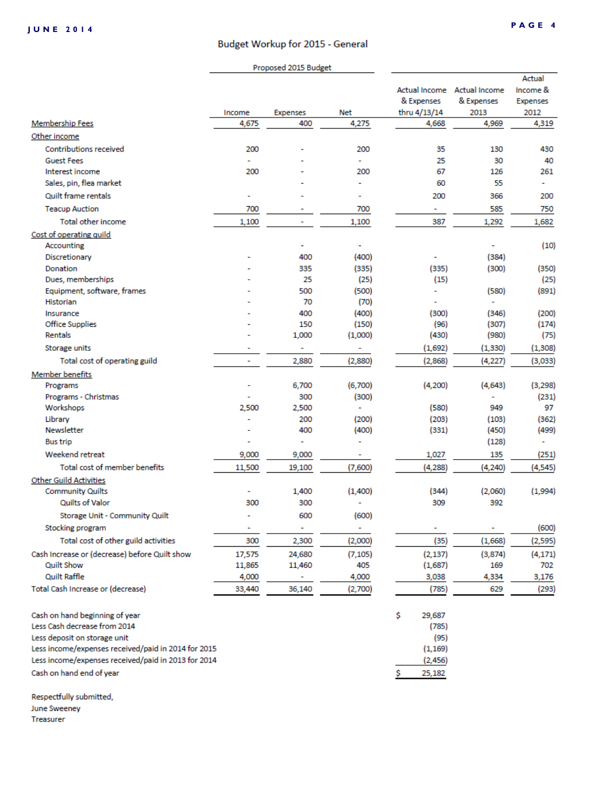#### Budget Workup for 2015 - General

|                                                                |                          | Proposed 2015 Budget |                |                            |                                                   |                                               |
|----------------------------------------------------------------|--------------------------|----------------------|----------------|----------------------------|---------------------------------------------------|-----------------------------------------------|
|                                                                | Income                   | Expenses             | <b>Net</b>     | & Expenses<br>thru 4/13/14 | Actual Income Actual Income<br>& Expenses<br>2013 | Actual<br>Income &<br><b>Expenses</b><br>2012 |
| <b>Membership Fees</b>                                         | 4,675                    | 400                  | 4,275          | 4,668                      | 4,969                                             | 4,319                                         |
| Other income                                                   |                          |                      |                |                            |                                                   |                                               |
| <b>Contributions received</b>                                  | 200                      |                      | 200            | 35                         | 130                                               | 430                                           |
| <b>Guest Fees</b>                                              | ÷                        |                      | ٠              | 25                         | 30                                                | 40                                            |
| Interest income                                                | 200                      |                      | 200            | 67                         | 126                                               | 261                                           |
| Sales, pin, flea market                                        |                          |                      | ٠              | 60                         | 55                                                | ٠                                             |
| Quilt frame rentals                                            | ٠                        |                      | ٠              | 200                        | 366                                               | 200                                           |
| <b>Teacup Auction</b>                                          | 700                      |                      | 700            | ٠                          | 585                                               | 750                                           |
| Total other income                                             | 1,100                    | ۰                    | 1,100          | 387                        | 1,292                                             | 1,682                                         |
| Cost of operating quild                                        |                          |                      |                |                            |                                                   |                                               |
| Accounting                                                     |                          | ٠                    | ۰              |                            | ۰                                                 | (10)                                          |
| Discretionary                                                  |                          | 400                  | (400)          | ۰                          | (384)                                             |                                               |
| Donation                                                       |                          | 335                  | (335)          | (335)                      | (300)                                             | (350)                                         |
| Dues, memberships                                              |                          | 25                   | (25)           | (15)                       |                                                   | (25)                                          |
| Equipment, software, frames                                    |                          | 500                  | (500)          | ۰                          | (580)                                             | (891)                                         |
| <b>Historian</b>                                               |                          | 70                   | (70)           |                            | ۰                                                 |                                               |
| Insurance                                                      |                          | 400                  | (400)          | (300)                      | (346)                                             | (200)                                         |
| <b>Office Supplies</b>                                         |                          | 150                  | (150)          | (96)                       | (307)                                             | (174)                                         |
| Rentals                                                        |                          | 1,000                | (1,000)        | (430)                      | (980)                                             | (75)                                          |
| Storage units                                                  |                          | ۰                    | ۰              | (1,692)                    | (1, 330)                                          | (1, 308)                                      |
| Total cost of operating guild                                  | $\overline{\phantom{a}}$ | 2,880                | (2,880)        | (2,868)                    | (4, 227)                                          | (3,033)                                       |
| <b>Member benefits</b>                                         |                          |                      |                |                            |                                                   |                                               |
| Programs                                                       |                          | 6,700                | (6,700)        | (4,200)                    | (4,643)                                           | (3, 298)                                      |
| Programs - Christmas                                           |                          | 300                  | (300)          |                            |                                                   | (231)                                         |
| Workshops                                                      | 2,500                    | 2,500                | ÷,             | (580)                      | 949                                               | 97                                            |
| Library<br>Newsletter                                          | ÷                        | 200<br>400           | (200)<br>(400) | (203)<br>(331)             | (103)<br>(450)                                    | (362)<br>(499)                                |
| <b>Bus trip</b>                                                | $\overline{\phantom{a}}$ | ٠                    | ۰              |                            | (128)                                             | ۰                                             |
| Weekend retreat                                                | 9,000                    | 9,000                |                | 1,027                      | 135                                               |                                               |
|                                                                |                          |                      | ۰.             |                            |                                                   | (251)                                         |
| Total cost of member benefits                                  | 11,500                   | 19,100               | (7,600)        | (4, 288)                   | (4, 240)                                          | (4, 545)                                      |
| <b>Other Guild Activities</b>                                  | ۰                        |                      |                |                            |                                                   |                                               |
| <b>Community Quilts</b><br>Quilts of Valor                     | 300                      | 1,400<br>300         | (1,400)<br>۰   | (344)<br>309               | (2,060)<br>392                                    | (1,994)                                       |
|                                                                | ٠                        |                      |                |                            |                                                   |                                               |
| Storage Unit - Community Quilt                                 |                          | 600                  | (600)          |                            |                                                   |                                               |
| Stocking program                                               | ۰                        | ۰                    | ۰              |                            | ۰                                                 | (600)                                         |
| Total cost of other guild activities                           | 300                      | 2,300                | (2,000)        | (35)                       | (1,668)                                           | (2,595)                                       |
| Cash Increase or (decrease) before Quilt show                  | 17,575                   | 24,680               | (7, 105)       | (2, 137)                   | (3,874)                                           | (4, 171)                                      |
| Quilt Show                                                     | 11,865                   | 11,460               | 405            | (1,687)                    | 169                                               | 702                                           |
| <b>Quilt Raffle</b>                                            | 4,000                    |                      | 4,000          | 3,038                      | 4,334                                             | 3,176                                         |
| Total Cash Increase or (decrease)                              | 33,440                   | 36,140               | (2,700)        | (785)                      | 629                                               | (293)                                         |
| Cash on hand beginning of year<br>Less Cash decrease from 2014 |                          |                      |                | \$<br>29,687<br>(785)      |                                                   |                                               |
| Less deposit on storage unit                                   |                          |                      |                | (95)                       |                                                   |                                               |
| Less income/expenses received/paid in 2014 for 2015            |                          |                      |                | (1, 169)                   |                                                   |                                               |
| Less income/expenses received/paid in 2013 for 2014            |                          |                      |                | (2, 456)                   |                                                   |                                               |
| Cash on hand end of year                                       |                          |                      |                | 25,182                     |                                                   |                                               |

Respectfully submitted, June Sweeney

Treasurer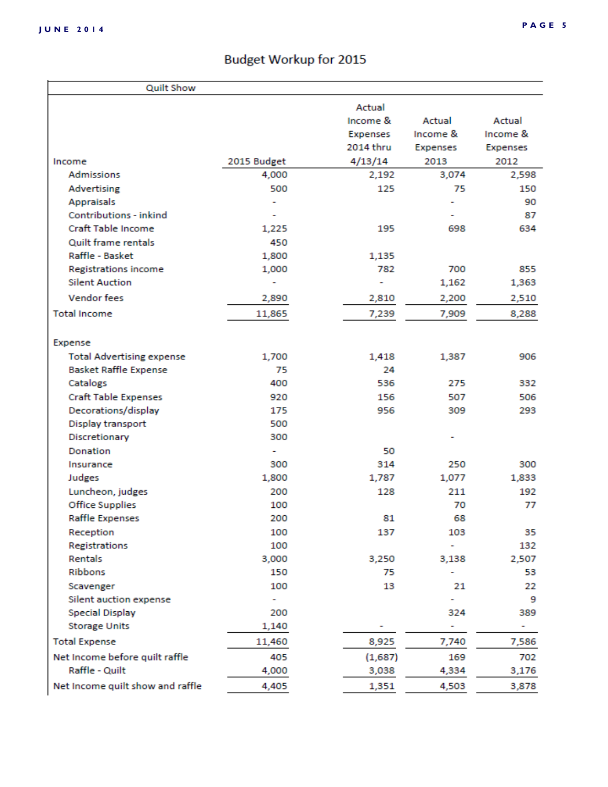# **Budget Workup for 2015**

| <b>Quilt Show</b>                |             |           |          |                 |
|----------------------------------|-------------|-----------|----------|-----------------|
|                                  |             | Actual    |          |                 |
|                                  |             | Income &  | Actual   | Actual          |
|                                  |             | Expenses  | Income & | Income &        |
|                                  |             | 2014 thru | Expenses | <b>Expenses</b> |
| Income                           | 2015 Budget | 4/13/14   | 2013     | 2012            |
| <b>Admissions</b>                | 4,000       | 2,192     | 3,074    | 2,598           |
| Advertising                      | 500         | 125       | 75       | 150             |
| <b>Appraisals</b>                |             |           |          | 90              |
| Contributions - inkind           |             |           |          | 87              |
| Craft Table Income               | 1,225       | 195       | 698      | 634             |
| Quilt frame rentals              | 450         |           |          |                 |
| Raffle - Basket                  | 1,800       | 1,135     |          |                 |
| <b>Registrations income</b>      | 1,000       | 782       | 700      | 855             |
| <b>Silent Auction</b>            |             | ۰         | 1,162    | 1,363           |
| <b>Vendor fees</b>               | 2,890       | 2,810     | 2,200    | 2,510           |
| <b>Total Income</b>              | 11,865      | 7,239     | 7,909    | 8,288           |
|                                  |             |           |          |                 |
| Expense                          |             |           |          |                 |
| <b>Total Advertising expense</b> | 1,700       | 1,418     | 1,387    | 906             |
| <b>Basket Raffle Expense</b>     | 75          | 24        |          |                 |
| Catalogs                         | 400         | 536       | 275      | 332             |
| <b>Craft Table Expenses</b>      | 920         | 156       | 507      | 506             |
| Decorations/display              | 175         | 956       | 309      | 293             |
| Display transport                | 500         |           |          |                 |
| Discretionary                    | 300         |           |          |                 |
| <b>Donation</b>                  |             | 50        |          |                 |
| Insurance                        | 300         | 314       | 250      | 300             |
| Judges                           | 1,800       | 1,787     | 1,077    | 1,833           |
| Luncheon, judges                 | 200         | 128       | 211      | 192             |
| Office Supplies                  | 100         |           | 70       | 77              |
| <b>Raffle Expenses</b>           | 200         | 81        | 68       |                 |
| Reception                        | 100         | 137       | 103      | 35              |
| Registrations                    | 100         |           | ٠        | 132             |
| Rentals                          | 3,000       | 3,250     | 3,138    | 2,507           |
| Ribbons                          | 150         | 75        |          | 53              |
| Scavenger                        | 100         | 13        | 21       | 22              |
| Silent auction expense           |             |           | ÷        | 9               |
| <b>Special Display</b>           | 200         |           | 324      | 389             |
| <b>Storage Units</b>             | 1,140       |           | ۰        | ۰.              |
| <b>Total Expense</b>             | 11,460      | 8,925     | 7,740    | 7,586           |
| Net Income before quilt raffle   | 405         | (1,687)   | 169      | 702             |
| Raffle - Quilt                   | 4,000       | 3,038     | 4,334    | 3,176           |
| Net Income quilt show and raffle | 4,405       | 1,351     | 4,503    | 3,878           |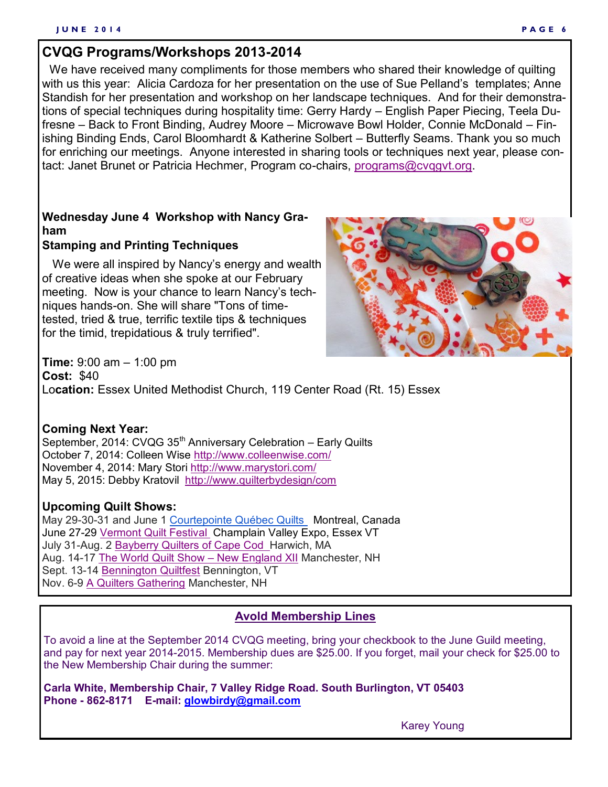## **CVQG Programs/Workshops 2013-2014**

 We have received many compliments for those members who shared their knowledge of quilting with us this year: Alicia Cardoza for her presentation on the use of Sue Pelland's templates; Anne Standish for her presentation and workshop on her landscape techniques. And for their demonstrations of special techniques during hospitality time: Gerry Hardy – English Paper Piecing, Teela Dufresne – Back to Front Binding, Audrey Moore – Microwave Bowl Holder, Connie McDonald – Finishing Binding Ends, Carol Bloomhardt & Katherine Solbert – Butterfly Seams. Thank you so much for enriching our meetings. Anyone interested in sharing tools or techniques next year, please contact: Janet Brunet or Patricia Hechmer, Program co-chairs, [programs@cvqgvt.org.](mailto:programs@cvqgvt.org)

## **Wednesday June 4 Workshop with Nancy Graham**

#### **Stamping and Printing Techniques**

 We were all inspired by Nancy's energy and wealth of creative ideas when she spoke at our February meeting. Now is your chance to learn Nancy's techniques hands-on. She will share "Tons of timetested, tried & true, terrific textile tips & techniques for the timid, trepidatious & truly terrified".



**Time:** 9:00 am – 1:00 pm **Cost:** \$40 Lo**cation:** Essex United Methodist Church, 119 Center Road (Rt. 15) Essex

#### **Coming Next Year:**

September, 2014: CVQG  $35<sup>th</sup>$  Anniversary Celebration – Early Quilts October 7, 2014: Colleen Wise<http://www.colleenwise.com/> November 4, 2014: Mary Stori <http://www.marystori.com/> May 5, 2015: Debby Kratovil <http://www.quilterbydesign/com>

#### **Upcoming Quilt Shows:**

May 29-30-31 and June 1 [Courtepointe Québec Quilts](http://cqq.ca/salon/a-propos-2/) Montreal, Canada June 27-29 [Vermont Quilt Festival C](http://www.vqf.org/)hamplain Valley Expo, Essex VT July 31-Aug. 2 [Bayberry Quilters of Cape Cod Ha](https://bayberryquiltersofcapecod.com/)rwich, MA Aug. 14-17 [The World Quilt Show –](http://www.quiltfest.com/activities.asp?id=18) New England XII Manchester, NH Sept. 13-14 [Bennington Quiltfest](http://www.benningtonquiltfest.com/) Bennington, VT Nov. 6-9 [A Quilters Gathering](http://www.aquiltersgathering.com/) Manchester, NH

#### **Avold Membership Lines**

To avoid a line at the September 2014 CVQG meeting, bring your checkbook to the June Guild meeting, and pay for next year 2014-2015. Membership dues are \$25.00. If you forget, mail your check for \$25.00 to the New Membership Chair during the summer:

**Carla White, Membership Chair, 7 Valley Ridge Road. South Burlington, VT 05403 Phone - 862-8171 E-mail: [glowbirdy@gmail.com](mailto:glowbirdy@gmail.com)**

Karey Young